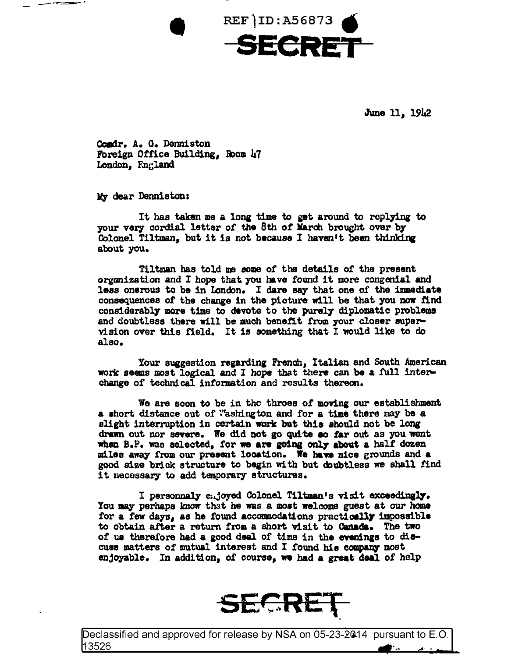

June 11, 1942

Comdr. A. G. Denniston Foreign Office Building, lbom 47 London, F.n.; land

M7 dear Dennietons

---~--

It has taken me a long time to get around to replying to your very cordial letter of the 8th of March brought over by Colonel Tiltman, but it is not because I haven't been thinking about you.

Tiltman has told me eome of the details of the present organization and I hope that. you have found it more congenial and less onerous to be in London. I dare say that one of the immediate consequences of the change in the picture will be that you now tind considerably more time to devote to the purely diplomatic problems and doubtless there will be much benefit from your closer supervision over this field. It is something that I would like to do also.

Your suggestion regarding French, Italian and South American work seems most logical and I hope that there can be a full interchange of technical information and results thereon.

We are soon to be in the throes of moving our establishment a short distance out of **Washington** and for a time there may be a slight interruption in certain work but this should not be long drawn out nor severe. We did not go quite so far out as you went when  $B.P.$  was selected, for we are going only about a half dozen miles away from our present location. We have nice grounds and a good size brick structure to begin with but doubtless we shall find it necessary to add temporary structures.

I personnaly enjoyed Colonel Tiltman's visit exceedingly. You may perhaps know that he was a most welcome guest at our home for a few days, as he found accommodations practically impossible to obtain after a return from a short visit to Canada. The two of us therefore had a good deal of time in the evenings to discuss matters of mutual interest and I found his company most enjoyable. In addition, of course, we had a great deal of help



Declassified and approved for release by NSA on 05-23-2014 pursuant to E.O. 13526 ....